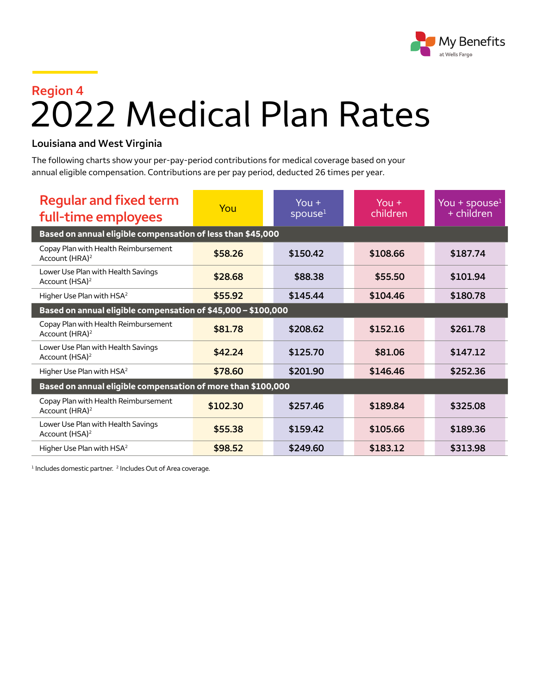

## **Region 4** 2022 Medical Plan Rates

## **Louisiana and West Virginia**

The following charts show your per-pay-period contributions for medical coverage based on your annual eligible compensation. Contributions are per pay period, deducted 26 times per year.

| <b>Regular and fixed term</b><br>full-time employees               | You      | You $+$<br>spouse <sup>1</sup> | $You +$<br>children | You + spouse $1$<br>+ children |  |  |  |
|--------------------------------------------------------------------|----------|--------------------------------|---------------------|--------------------------------|--|--|--|
| Based on annual eligible compensation of less than \$45,000        |          |                                |                     |                                |  |  |  |
| Copay Plan with Health Reimbursement<br>Account (HRA) <sup>2</sup> | \$58.26  | \$150.42                       | \$108.66            | \$187.74                       |  |  |  |
| Lower Use Plan with Health Savings<br>Account (HSA) <sup>2</sup>   | \$28.68  | \$88.38                        | \$55.50             | \$101.94                       |  |  |  |
| Higher Use Plan with HSA <sup>2</sup>                              | \$55.92  | \$145.44                       | \$104.46            | \$180.78                       |  |  |  |
| Based on annual eligible compensation of \$45,000 - \$100,000      |          |                                |                     |                                |  |  |  |
| Copay Plan with Health Reimbursement<br>Account (HRA) <sup>2</sup> | \$81.78  | \$208.62                       | \$152.16            | \$261.78                       |  |  |  |
| Lower Use Plan with Health Savings<br>Account (HSA) <sup>2</sup>   | \$42.24  | \$125.70                       | \$81.06             | \$147.12                       |  |  |  |
| Higher Use Plan with HSA <sup>2</sup>                              | \$78.60  | \$201.90                       | \$146.46            | \$252.36                       |  |  |  |
| Based on annual eligible compensation of more than \$100,000       |          |                                |                     |                                |  |  |  |
| Copay Plan with Health Reimbursement<br>Account (HRA) <sup>2</sup> | \$102.30 | \$257.46                       | \$189.84            | \$325.08                       |  |  |  |
| Lower Use Plan with Health Savings<br>Account (HSA) <sup>2</sup>   | \$55.38  | \$159.42                       | \$105.66            | \$189.36                       |  |  |  |
| Higher Use Plan with HSA <sup>2</sup>                              | \$98.52  | \$249.60                       | \$183.12            | \$313.98                       |  |  |  |

<sup>1</sup> Includes domestic partner. <sup>2</sup> Includes Out of Area coverage.